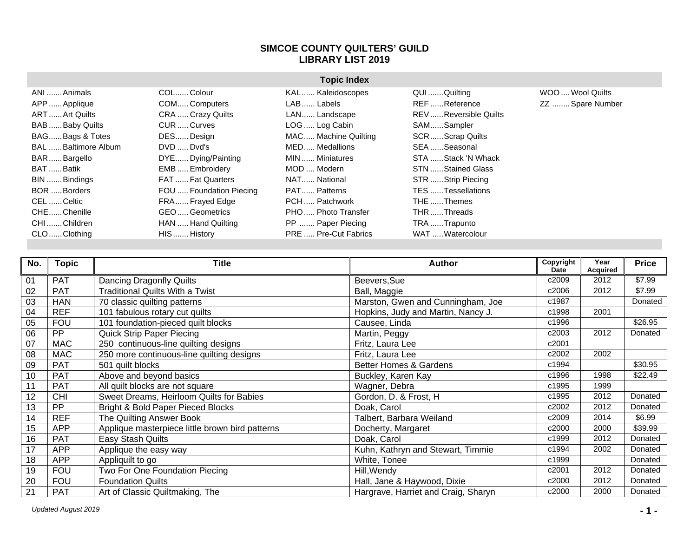## **SIMCOE COUNTY QUILTERS' GUILD LIBRARY LIST 2019**

|                     | <b>Topic Index</b>      |                             |                       |                  |  |  |
|---------------------|-------------------------|-----------------------------|-----------------------|------------------|--|--|
| ANI Animals         | COLColour               | KAL Kaleidoscopes           | QUI Quilting          | WOO  Wool Quilts |  |  |
| APP  Applique       | COM Computers           | LAB  Labels                 | REF Reference         | ZZ  Spare Number |  |  |
| ART  Art Quilts     | CRA  Crazy Quilts       | LAN Landscape               | REV Reversible Quilts |                  |  |  |
| BAB Baby Quilts     | CUR  Curves             | LOG  Log Cabin              | SAMSampler            |                  |  |  |
| BAGBags & Totes     | DES Design              | MAC Machine Quilting        | SCRScrap Quilts       |                  |  |  |
| BAL Baltimore Album | DVD  Dvd's              | MED Medallions              | SEA Seasonal          |                  |  |  |
| BARBargello         | DYE Dying/Painting      | MIN  Miniatures             | STA Stack 'N Whack    |                  |  |  |
| BAT Batik           | EMB  Embroidery         | MOD  Modern                 | STN Stained Glass     |                  |  |  |
| BIN Bindings        | FAT  Fat Quarters       | NAT National                | STR  Strip Piecing    |                  |  |  |
| BOR Borders         | FOU  Foundation Piecing | PAT Patterns                | TES Tessellations     |                  |  |  |
| CEL Celtic          | FRA Frayed Edge         | PCH  Patchwork              | THE Themes            |                  |  |  |
| CHEChenille         | GEO Geometrics          | PHO Photo Transfer          | THR Threads           |                  |  |  |
| CHI Children        | HAN  Hand Quilting      | PP  Paper Piecing           | TRA Trapunto          |                  |  |  |
| CLOClothing         | HIS  History            | <b>PRE  Pre-Cut Fabrics</b> | WAT  Watercolour      |                  |  |  |

| No. | <b>Topic</b> | Title                                           | <b>Author</b>                       | Copyright<br><b>Date</b> | Year<br>Acquired | <b>Price</b> |
|-----|--------------|-------------------------------------------------|-------------------------------------|--------------------------|------------------|--------------|
| 01  | <b>PAT</b>   | Dancing Dragonfly Quilts                        | Beevers, Sue                        | c2009                    | 2012             | \$7.99       |
| 02  | <b>PAT</b>   | <b>Traditional Quilts With a Twist</b>          | Ball, Maggie                        | c2006                    | 2012             | \$7.99       |
| 03  | <b>HAN</b>   | 70 classic quilting patterns                    | Marston, Gwen and Cunningham, Joe   | c1987                    |                  | Donated      |
| 04  | <b>REF</b>   | 101 fabulous rotary cut quilts                  | Hopkins, Judy and Martin, Nancy J.  | c1998                    | 2001             |              |
| 05  | <b>FOU</b>   | 101 foundation-pieced quilt blocks              | Causee, Linda                       | c1996                    |                  | \$26.95      |
| 06  | <b>PP</b>    | <b>Quick Strip Paper Piecing</b>                | Martin, Peggy                       | c2003                    | 2012             | Donated      |
| 07  | <b>MAC</b>   | 250 continuous-line quilting designs            | Fritz, Laura Lee                    | c2001                    |                  |              |
| 08  | <b>MAC</b>   | 250 more continuous-line quilting designs       | Fritz, Laura Lee                    | c2002                    | 2002             |              |
| 09  | <b>PAT</b>   | 501 quilt blocks                                | <b>Better Homes &amp; Gardens</b>   | c1994                    |                  | \$30.95      |
| 10  | <b>PAT</b>   | Above and beyond basics                         | Buckley, Karen Kay                  | c1996                    | 1998             | \$22.49      |
| 11  | PAT          | All quilt blocks are not square                 | Wagner, Debra                       | c1995                    | 1999             |              |
| 12  | <b>CHI</b>   | Sweet Dreams, Heirloom Quilts for Babies        | Gordon, D. & Frost, H.              | c1995                    | 2012             | Donated      |
| 13  | <b>PP</b>    | Bright & Bold Paper Pieced Blocks               | Doak, Carol                         | c2002                    | 2012             | Donated      |
| 14  | <b>REF</b>   | The Quilting Answer Book                        | Talbert, Barbara Weiland            | c2009                    | 2014             | \$6.99       |
| 15  | <b>APP</b>   | Applique masterpiece little brown bird patterns | Docherty, Margaret                  | c2000                    | 2000             | \$39.99      |
| 16  | <b>PAT</b>   | Easy Stash Quilts                               | Doak, Carol                         | c1999                    | 2012             | Donated      |
| 17  | <b>APP</b>   | Applique the easy way                           | Kuhn, Kathryn and Stewart, Timmie   | c1994                    | 2002             | Donated      |
| 18  | <b>APP</b>   | Appliquilt to go                                | White, Tonee                        | c1999                    |                  | Donated      |
| 19  | <b>FOU</b>   | Two For One Foundation Piecing                  | Hill, Wendy                         | c2001                    | 2012             | Donated      |
| 20  | <b>FOU</b>   | <b>Foundation Quilts</b>                        | Hall, Jane & Haywood, Dixie         | c2000                    | 2012             | Donated      |
| 21  | <b>PAT</b>   | Art of Classic Quiltmaking, The                 | Hargrave, Harriet and Craig, Sharyn | c2000                    | 2000             | Donated      |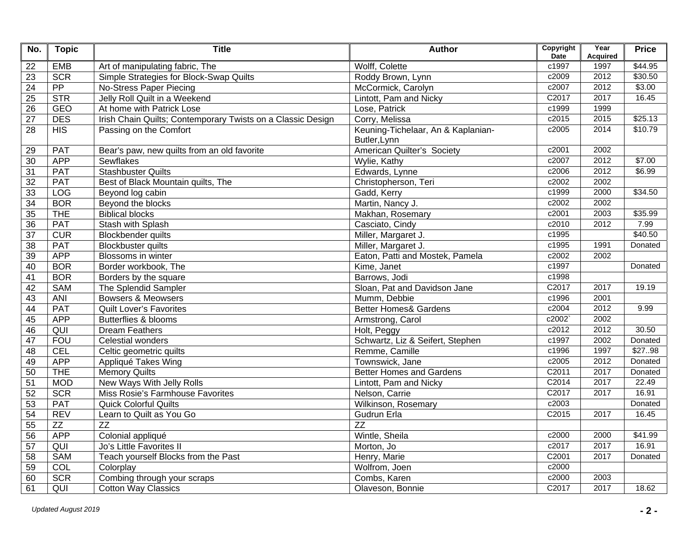| No.             | <b>Topic</b> | <b>Title</b>                                                | <b>Author</b>                      | Copyright<br><b>Date</b> | Year<br><b>Acquired</b> | <b>Price</b>        |
|-----------------|--------------|-------------------------------------------------------------|------------------------------------|--------------------------|-------------------------|---------------------|
| 22              | EMB          | Art of manipulating fabric, The                             | Wolff, Colette                     | c1997                    | 1997                    | $\overline{$44.95}$ |
| 23              | <b>SCR</b>   | Simple Strategies for Block-Swap Quilts                     | Roddy Brown, Lynn                  | c2009                    | 2012                    | \$30.50             |
| 24              | PP           | <b>No-Stress Paper Piecing</b>                              | McCormick, Carolyn                 | c2007                    | 2012                    | \$3.00              |
| 25              | <b>STR</b>   | Jelly Roll Quilt in a Weekend                               | Lintott, Pam and Nicky             | C <sub>2017</sub>        | 2017                    | 16.45               |
| $\overline{26}$ | <b>GEO</b>   | At home with Patrick Lose                                   | Lose, Patrick                      | c1999                    | 1999                    |                     |
| $\overline{27}$ | <b>DES</b>   | Irish Chain Quilts; Contemporary Twists on a Classic Design | Corry, Melissa                     | c2015                    | 2015                    | \$25.13             |
| 28              | HIS          | Passing on the Comfort                                      | Keuning-Tichelaar, An & Kaplanian- | c2005                    | 2014                    | \$10.79             |
|                 |              |                                                             | Butler, Lynn                       |                          |                         |                     |
| 29              | <b>PAT</b>   | Bear's paw, new quilts from an old favorite                 | American Quilter's Society         | c2001                    | 2002                    |                     |
| 30              | <b>APP</b>   | <b>Sewflakes</b>                                            | Wylie, Kathy                       | c2007                    | 2012                    | \$7.00              |
| 31              | <b>PAT</b>   | <b>Stashbuster Quilts</b>                                   | Edwards, Lynne                     | c2006                    | 2012                    | \$6.99              |
| 32              | PAT          | Best of Black Mountain quilts, The                          | Christopherson, Teri               | c2002                    | 2002                    |                     |
| 33              | LOG          | Beyond log cabin                                            | Gadd, Kerry                        | c1999                    | 2000                    | \$34.50             |
| $\overline{34}$ | <b>BOR</b>   | Beyond the blocks                                           | Martin, Nancy J.                   | c2002                    | 2002                    |                     |
| 35              | <b>THE</b>   | <b>Biblical blocks</b>                                      | Makhan, Rosemary                   | c2001                    | 2003                    | \$35.99             |
| 36              | PAT          | Stash with Splash                                           | Casciato, Cindy                    | c2010                    | 2012                    | 7.99                |
| $\overline{37}$ | CUR          | Blockbender quilts                                          | Miller, Margaret J.                | c1995                    |                         | \$40.50             |
| 38              | PAT          | <b>Blockbuster quilts</b>                                   | Miller, Margaret J.                | c1995                    | 1991                    | Donated             |
| 39              | <b>APP</b>   | Blossoms in winter                                          | Eaton, Patti and Mostek, Pamela    | c2002                    | 2002                    |                     |
| 40              | <b>BOR</b>   | Border workbook, The                                        | Kime, Janet                        | c1997                    |                         | Donated             |
| 41              | <b>BOR</b>   | Borders by the square                                       | Barrows, Jodi                      | c1998                    |                         |                     |
| $\overline{42}$ | <b>SAM</b>   | The Splendid Sampler                                        | Sloan, Pat and Davidson Jane       | C2017                    | 2017                    | 19.19               |
| 43              | ANI          | <b>Bowsers &amp; Meowsers</b>                               | Mumm, Debbie                       | c1996                    | 2001                    |                     |
| 44              | <b>PAT</b>   | <b>Quilt Lover's Favorites</b>                              | Better Homes& Gardens              | c2004                    | 2012                    | 9.99                |
| 45              | <b>APP</b>   | Butterflies & blooms                                        | Armstrong, Carol                   | c2002                    | 2002                    |                     |
| 46              | QUI          | <b>Dream Feathers</b>                                       | Holt, Peggy                        | c2012                    | 2012                    | 30.50               |
| 47              | <b>FOU</b>   | Celestial wonders                                           | Schwartz, Liz & Seifert, Stephen   | c1997                    | 2002                    | Donated             |
| 48              | CEL          | Celtic geometric quilts                                     | Remme, Camille                     | c1996                    | 1997                    | \$2798              |
| 49              | <b>APP</b>   | Appliqué Takes Wing                                         | Townswick, Jane                    | c2005                    | 2012                    | Donated             |
| 50              | <b>THE</b>   | <b>Memory Quilts</b>                                        | <b>Better Homes and Gardens</b>    | C2011                    | 2017                    | Donated             |
| 51              | <b>MOD</b>   | New Ways With Jelly Rolls                                   | Lintott, Pam and Nicky             | C2014                    | 2017                    | 22.49               |
| 52              | <b>SCR</b>   | Miss Rosie's Farmhouse Favorites                            | Nelson, Carrie                     | C2017                    | 2017                    | 16.91               |
| 53              | <b>PAT</b>   | Quick Colorful Quilts                                       | Wilkinson, Rosemary                | c2003                    |                         | Donated             |
| 54              | <b>REV</b>   | Learn to Quilt as You Go                                    | <b>Gudrun Erla</b>                 | C <sub>2015</sub>        | 2017                    | 16.45               |
| 55              | ZZ           | $\overline{ZZ}$                                             | $\overline{ZZ}$                    |                          |                         |                     |
| 56              | <b>APP</b>   | Colonial appliqué                                           | Wintle, Sheila                     | c2000                    | 2000                    | \$41.99             |
| 57              | QUI          | Jo's Little Favorites II                                    | Morton, Jo                         | c2017                    | 2017                    | 16.91               |
| $\overline{58}$ | <b>SAM</b>   | Teach yourself Blocks from the Past                         | Henry, Marie                       | C2001                    | 2017                    | Donated             |
| 59              | COL          | Colorplay                                                   | Wolfrom, Joen                      | c2000                    |                         |                     |
| 60              | <b>SCR</b>   | Combing through your scraps                                 | Combs, Karen                       | c2000                    | 2003                    |                     |
| 61              | QUI          | <b>Cotton Way Classics</b>                                  | Olaveson, Bonnie                   | C2017                    | 2017                    | 18.62               |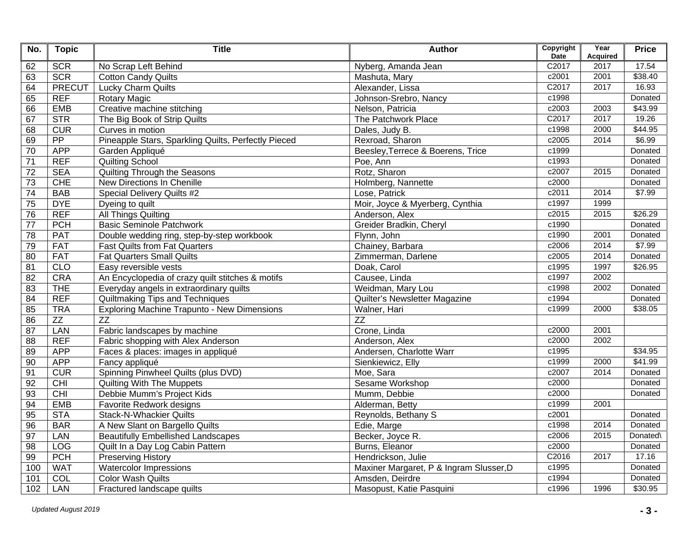| No.             | <b>Topic</b>    | <b>Title</b>                                        | <b>Author</b>                           | Copyright<br><b>Date</b> | Year<br><b>Acquired</b> | <b>Price</b> |
|-----------------|-----------------|-----------------------------------------------------|-----------------------------------------|--------------------------|-------------------------|--------------|
| 62              | <b>SCR</b>      | No Scrap Left Behind                                | Nyberg, Amanda Jean                     | C2017                    | 2017                    | 17.54        |
| 63              | <b>SCR</b>      | <b>Cotton Candy Quilts</b>                          | Mashuta, Mary                           | c2001                    | 2001                    | \$38.40      |
| 64              | <b>PRECUT</b>   | <b>Lucky Charm Quilts</b>                           | Alexander, Lissa                        | C2017                    | 2017                    | 16.93        |
| 65              | <b>REF</b>      | <b>Rotary Magic</b>                                 | Johnson-Srebro, Nancy                   | c1998                    |                         | Donated      |
| 66              | <b>EMB</b>      | Creative machine stitching                          | Nelson, Patricia                        | c2003                    | 2003                    | \$43.99      |
| 67              | STR             | The Big Book of Strip Quilts                        | The Patchwork Place                     | C2017                    | 2017                    | 19.26        |
| 68              | CUR             | Curves in motion                                    | Dales, Judy B.                          | c1998                    | 2000                    | \$44.95      |
| 69              | $\overline{PP}$ | Pineapple Stars, Sparkling Quilts, Perfectly Pieced | Rexroad, Sharon                         | c2005                    | 2014                    | \$6.99       |
| 70              | <b>APP</b>      | Garden Appliqué                                     | Beesley, Terrece & Boerens, Trice       | c1999                    |                         | Donated      |
| $\overline{71}$ | <b>REF</b>      | <b>Quilting School</b>                              | Poe, Ann                                | c1993                    |                         | Donated      |
| $\overline{72}$ | <b>SEA</b>      | Quilting Through the Seasons                        | Rotz, Sharon                            | c2007                    | 2015                    | Donated      |
| $\overline{73}$ | <b>CHE</b>      | New Directions In Chenille                          | Holmberg, Nannette                      | c2000                    |                         | Donated      |
| $\overline{74}$ | <b>BAB</b>      | Special Delivery Quilts #2                          | Lose, Patrick                           | c2011                    | 2014                    | \$7.99       |
| $\overline{75}$ | <b>DYE</b>      | Dyeing to quilt                                     | Moir, Joyce & Myerberg, Cynthia         | c1997                    | 1999                    |              |
| 76              | <b>REF</b>      | <b>All Things Quilting</b>                          | Anderson, Alex                          | c2015                    | 2015                    | \$26.29      |
| $\overline{77}$ | <b>PCH</b>      | <b>Basic Seminole Patchwork</b>                     | Greider Bradkin, Cheryl                 | c1990                    |                         | Donated      |
| $\overline{78}$ | <b>PAT</b>      | Double wedding ring, step-by-step workbook          | Flynn, John                             | c1990                    | 2001                    | Donated      |
| 79              | <b>FAT</b>      | <b>Fast Quilts from Fat Quarters</b>                | Chainey, Barbara                        | c2006                    | 2014                    | \$7.99       |
| 80              | <b>FAT</b>      | <b>Fat Quarters Small Quilts</b>                    | Zimmerman, Darlene                      | c2005                    | 2014                    | Donated      |
| 81              | <b>CLO</b>      | Easy reversible vests                               | Doak, Carol                             | c1995                    | 1997                    | \$26.95      |
| 82              | <b>CRA</b>      | An Encyclopedia of crazy quilt stitches & motifs    | Causee, Linda                           | c1997                    | 2002                    |              |
| 83              | <b>THE</b>      | Everyday angels in extraordinary quilts             | Weidman, Mary Lou                       | c1998                    | 2002                    | Donated      |
| 84              | <b>REF</b>      | Quiltmaking Tips and Techniques                     | Quilter's Newsletter Magazine           | c1994                    |                         | Donated      |
| 85              | <b>TRA</b>      | <b>Exploring Machine Trapunto - New Dimensions</b>  | Walner, Hari                            | c1999                    | 2000                    | \$38.05      |
| 86              | ZZ              | ZZ                                                  | $\overline{ZZ}$                         |                          |                         |              |
| 87              | LAN             | Fabric landscapes by machine                        | Crone, Linda                            | c2000                    | 2001                    |              |
| 88              | <b>REF</b>      | Fabric shopping with Alex Anderson                  | Anderson, Alex                          | c2000                    | 2002                    |              |
| 89              | <b>APP</b>      | Faces & places: images in appliqué                  | Andersen, Charlotte Warr                | c1995                    |                         | \$34.95      |
| 90              | <b>APP</b>      | Fancy appliqué                                      | Sienkiewicz, Elly                       | c1999                    | 2000                    | \$41.99      |
| 91              | CUR             | Spinning Pinwheel Quilts (plus DVD)                 | Moe, Sara                               | c2007                    | 2014                    | Donated      |
| $\overline{92}$ | CHI             | <b>Quilting With The Muppets</b>                    | Sesame Workshop                         | c2000                    |                         | Donated      |
| 93              | CHI             | Debbie Mumm's Project Kids                          | Mumm, Debbie                            | c2000                    |                         | Donated      |
| $\overline{94}$ | <b>EMB</b>      | Favorite Redwork designs                            | Alderman, Betty                         | c1999                    | 2001                    |              |
| 95              | <b>STA</b>      | <b>Stack-N-Whackier Quilts</b>                      | Reynolds, Bethany S                     | c2001                    |                         | Donated      |
| $\overline{96}$ | <b>BAR</b>      | A New Slant on Bargello Quilts                      | Edie, Marge                             | c1998                    | 2014                    | Donated      |
| 97              | LAN             | <b>Beautifully Embellished Landscapes</b>           | Becker, Joyce R.                        | c2006                    | 2015                    | Donated\     |
| $\overline{98}$ | <b>LOG</b>      | Quilt In a Day Log Cabin Pattern                    | Burns, Eleanor                          | c2000                    |                         | Donated      |
| 99              | <b>PCH</b>      | <b>Preserving History</b>                           | Hendrickson, Julie                      | C2016                    | 2017                    | 17.16        |
| 100             | <b>WAT</b>      | <b>Watercolor Impressions</b>                       | Maxiner Margaret, P & Ingram Slusser, D | c1995                    |                         | Donated      |
| 101             | COL             | <b>Color Wash Quilts</b>                            | Amsden, Deirdre                         | c1994                    |                         | Donated      |
| 102             | <b>LAN</b>      | Fractured landscape quilts                          | Masopust, Katie Pasquini                | c1996                    | 1996                    | \$30.95      |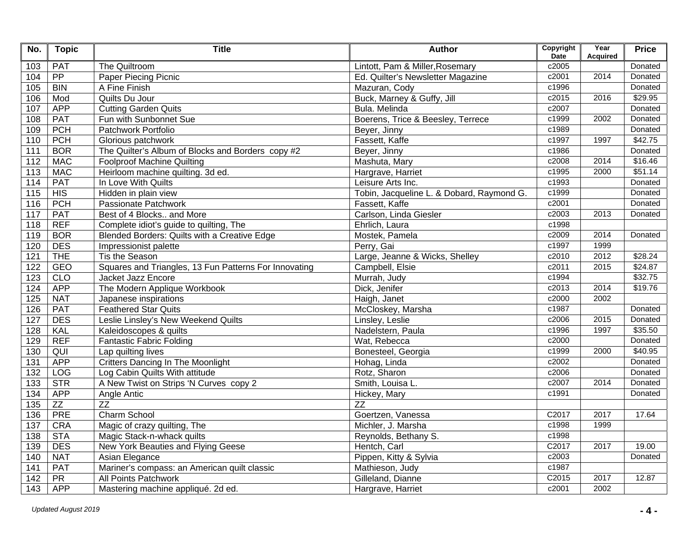| No.              | <b>Topic</b>    | <b>Title</b>                                          | <b>Author</b>                             | Copyright<br><b>Date</b> | Year<br><b>Acquired</b> | <b>Price</b> |
|------------------|-----------------|-------------------------------------------------------|-------------------------------------------|--------------------------|-------------------------|--------------|
| 103              | <b>PAT</b>      | The Quiltroom                                         | Lintott, Pam & Miller, Rosemary           | c2005                    |                         | Donated      |
| 104              | $\overline{PP}$ | <b>Paper Piecing Picnic</b>                           | Ed. Quilter's Newsletter Magazine         | c2001                    | 2014                    | Donated      |
| 105              | <b>BIN</b>      | A Fine Finish                                         | Mazuran, Cody                             | c1996                    |                         | Donated      |
| 106              | Mod             | Quilts Du Jour                                        | Buck, Marney & Guffy, Jill                | c2015                    | 2016                    | \$29.95      |
| 107              | <b>APP</b>      | <b>Cutting Garden Quits</b>                           | Bula. Melinda                             | c2007                    |                         | Donated      |
| 108              | <b>PAT</b>      | Fun with Sunbonnet Sue                                | Boerens, Trice & Beesley, Terrece         | c1999                    | 2002                    | Donated      |
| 109              | <b>PCH</b>      | Patchwork Portfolio                                   | Beyer, Jinny                              | c1989                    |                         | Donated      |
| 110              | PCH             | Glorious patchwork                                    | Fassett, Kaffe                            | c1997                    | 1997                    | \$42.75      |
| 111              | <b>BOR</b>      | The Quilter's Album of Blocks and Borders copy #2     | Beyer, Jinny                              | c1986                    |                         | Donated      |
| 112              | <b>MAC</b>      | <b>Foolproof Machine Quilting</b>                     | Mashuta, Mary                             | c2008                    | 2014                    | \$16.46      |
| 113              | <b>MAC</b>      | Heirloom machine quilting. 3d ed.                     | Hargrave, Harriet                         | c1995                    | 2000                    | \$51.14      |
| 114              | <b>PAT</b>      | In Love With Quilts                                   | Leisure Arts Inc.                         | c1993                    |                         | Donated      |
| 115              | HIS             | Hidden in plain view                                  | Tobin, Jacqueline L. & Dobard, Raymond G. | c1999                    |                         | Donated      |
| 116              | PCH             | Passionate Patchwork                                  | Fassett, Kaffe                            | c2001                    |                         | Donated      |
| 117              | <b>PAT</b>      | Best of 4 Blocks and More                             | Carlson, Linda Giesler                    | c2003                    | 2013                    | Donated      |
| 118              | <b>REF</b>      | Complete idiot's guide to quilting, The               | Ehrlich, Laura                            | c1998                    |                         |              |
| 119              | <b>BOR</b>      | Blended Borders: Quilts with a Creative Edge          | Mostek, Pamela                            | c2009                    | 2014                    | Donated      |
| 120              | <b>DES</b>      | Impressionist palette                                 | Perry, Gai                                | c1997                    | 1999                    |              |
| 121              | <b>THE</b>      | Tis the Season                                        | Large, Jeanne & Wicks, Shelley            | c2010                    | 2012                    | \$28.24      |
| 122              | <b>GEO</b>      | Squares and Triangles, 13 Fun Patterns For Innovating | Campbell, Elsie                           | c2011                    | 2015                    | \$24.87      |
| 123              | CLO             | Jacket Jazz Encore                                    | Murrah, Judy                              | c1994                    |                         | \$32.75      |
| 124              | <b>APP</b>      | The Modern Applique Workbook                          | Dick, Jenifer                             | c2013                    | 2014                    | \$19.76      |
| 125              | <b>NAT</b>      | Japanese inspirations                                 | Haigh, Janet                              | c2000                    | 2002                    |              |
| 126              | <b>PAT</b>      | <b>Feathered Star Quits</b>                           | McCloskey, Marsha                         | c1987                    |                         | Donated      |
| 127              | <b>DES</b>      | Leslie Linsley's New Weekend Quilts                   | Linsley, Leslie                           | c2006                    | 2015                    | Donated      |
| 128              | <b>KAL</b>      | Kaleidoscopes & quilts                                | Nadelstern, Paula                         | c1996                    | 1997                    | \$35.50      |
| 129              | <b>REF</b>      | <b>Fantastic Fabric Folding</b>                       | Wat, Rebecca                              | c2000                    |                         | Donated      |
| 130              | QUI             | Lap quilting lives                                    | Bonesteel, Georgia                        | c1999                    | 2000                    | \$40.95      |
| 131              | <b>APP</b>      | Critters Dancing In The Moonlight                     | Hohag, Linda                              | c2002                    |                         | Donated      |
| 132              | <b>LOG</b>      | Log Cabin Quilts With attitude                        | Rotz, Sharon                              | c2006                    |                         | Donated      |
| 133              | STR             | A New Twist on Strips 'N Curves copy 2                | Smith, Louisa L.                          | c2007                    | 2014                    | Donated      |
| 134              | <b>APP</b>      | Angle Antic                                           | Hickey, Mary                              | c1991                    |                         | Donated      |
| 135              | ZZ              | ZZ                                                    | $\overline{ZZ}$                           |                          |                         |              |
| 136              | <b>PRE</b>      | Charm School                                          | Goertzen, Vanessa                         | C2017                    | 2017                    | 17.64        |
| 137              | <b>CRA</b>      | Magic of crazy quilting, The                          | Michler, J. Marsha                        | c1998                    | 1999                    |              |
| 138              | <b>STA</b>      | Magic Stack-n-whack quilts                            | Reynolds, Bethany S.                      | c1998                    |                         |              |
| 139              | <b>DES</b>      | New York Beauties and Flying Geese                    | Hentch, Carl                              | C2017                    | 2017                    | 19.00        |
| 140              | <b>NAT</b>      | Asian Elegance                                        | Pippen, Kitty & Sylvia                    | c2003                    |                         | Donated      |
| 141              | <b>PAT</b>      | Mariner's compass: an American quilt classic          | Mathieson, Judy                           | c1987                    |                         |              |
| $\overline{142}$ | PR              | All Points Patchwork                                  | Gilleland, Dianne                         | C2015                    | 2017                    | 12.87        |
| 143              | <b>APP</b>      | Mastering machine appliqué. 2d ed.                    | Hargrave, Harriet                         | c2001                    | 2002                    |              |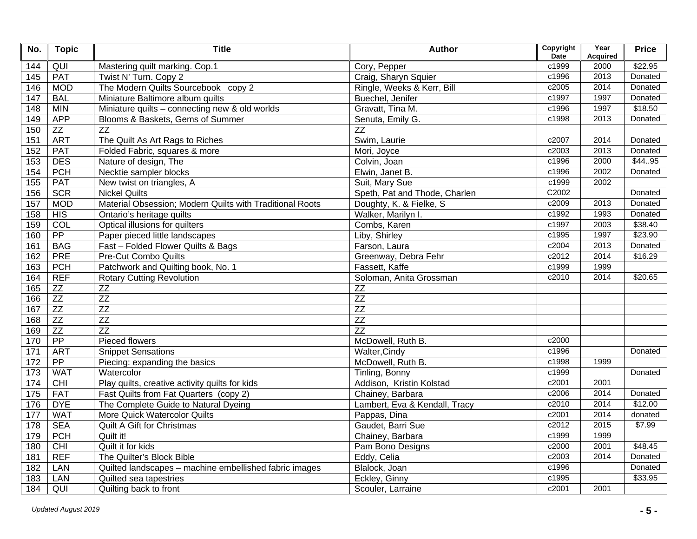| No.              | <b>Topic</b>    | <b>Title</b>                                             | <b>Author</b>                 | Copyright<br><b>Date</b> | Year<br><b>Acquired</b> | <b>Price</b> |
|------------------|-----------------|----------------------------------------------------------|-------------------------------|--------------------------|-------------------------|--------------|
| 144              | $\overline{Q}$  | Mastering quilt marking. Cop.1                           | Cory, Pepper                  | c1999                    | 2000                    | \$22.95      |
| 145              | <b>PAT</b>      | Twist N' Turn. Copy 2                                    | Craig, Sharyn Squier          | c1996                    | 2013                    | Donated      |
| 146              | <b>MOD</b>      | The Modern Quilts Sourcebook copy 2                      | Ringle, Weeks & Kerr, Bill    | c2005                    | 2014                    | Donated      |
| 147              | <b>BAL</b>      | Miniature Baltimore album quilts                         | Buechel, Jenifer              | c1997                    | 1997                    | Donated      |
| 148              | <b>MIN</b>      | Miniature quilts - connecting new & old worlds           | Gravatt, Tina M.              | c1996                    | 1997                    | \$18.50      |
| 149              | <b>APP</b>      | Blooms & Baskets, Gems of Summer                         | Senuta, Emily G.              | c1998                    | 2013                    | Donated      |
| 150              | ZZ              | $\overline{ZZ}$                                          | $\overline{ZZ}$               |                          |                         |              |
| 151              | <b>ART</b>      | The Quilt As Art Rags to Riches                          | Swim, Laurie                  | c2007                    | 2014                    | Donated      |
| 152              | <b>PAT</b>      | Folded Fabric, squares & more                            | Mori, Joyce                   | c2003                    | 2013                    | Donated      |
| 153              | <b>DES</b>      | Nature of design, The                                    | Colvin, Joan                  | c1996                    | 2000                    | \$4495       |
| 154              | PCH             | Necktie sampler blocks                                   | Elwin, Janet B.               | c1996                    | 2002                    | Donated      |
| 155              | <b>PAT</b>      | New twist on triangles, A                                | Suit, Mary Sue                | c1999                    | 2002                    |              |
| 156              | <b>SCR</b>      | <b>Nickel Quilts</b>                                     | Speth, Pat and Thode, Charlen | C2002                    |                         | Donated      |
| 157              | <b>MOD</b>      | Material Obsession; Modern Quilts with Traditional Roots | Doughty, K. & Fielke, S.      | c2009                    | 2013                    | Donated      |
| 158              | HIS             | Ontario's heritage quilts                                | Walker, Marilyn I.            | c1992                    | 1993                    | Donated      |
| 159              | COL             | Optical illusions for quilters                           | Combs, Karen                  | c1997                    | 2003                    | \$38.40      |
| 160              | $\overline{PP}$ | Paper pieced little landscapes                           | Liby, Shirley                 | c1995                    | 1997                    | \$23.90      |
| 161              | <b>BAG</b>      | Fast - Folded Flower Quilts & Bags                       | Farson, Laura                 | c2004                    | 2013                    | Donated      |
| 162              | <b>PRE</b>      | <b>Pre-Cut Combo Quilts</b>                              | Greenway, Debra Fehr          | c2012                    | 2014                    | \$16.29      |
| 163              | <b>PCH</b>      | Patchwork and Quilting book, No. 1                       | Fassett, Kaffe                | c1999                    | 1999                    |              |
| 164              | <b>REF</b>      | <b>Rotary Cutting Revolution</b>                         | Soloman, Anita Grossman       | c2010                    | 2014                    | \$20.65      |
| 165              | ZZ              | ZZ                                                       | ZZ                            |                          |                         |              |
| 166              | ZZ              | ZZ                                                       | ZZ                            |                          |                         |              |
| 167              | ZZ              | ZZ                                                       | $\overline{ZZ}$               |                          |                         |              |
| 168              | ZZ              | ZZ                                                       | ZZ                            |                          |                         |              |
| 169              | $Z\overline{Z}$ | $\overline{ZZ}$                                          | $\overline{ZZ}$               |                          |                         |              |
| 170              | $\overline{PP}$ | Pieced flowers                                           | McDowell, Ruth B.             | c2000                    |                         |              |
| 171              | <b>ART</b>      | <b>Snippet Sensations</b>                                | Walter, Cindy                 | c1996                    |                         | Donated      |
| $\overline{172}$ | $\overline{PP}$ | Piecing: expanding the basics                            | McDowell, Ruth B.             | c1998                    | 1999                    |              |
| 173              | <b>WAT</b>      | Watercolor                                               | Tinling, Bonny                | c1999                    |                         | Donated      |
| 174              | CHI             | Play quilts, creative activity quilts for kids           | Addison, Kristin Kolstad      | c2001                    | 2001                    |              |
| $\overline{175}$ | <b>FAT</b>      | Fast Quilts from Fat Quarters (copy 2)                   | Chainey, Barbara              | c2006                    | 2014                    | Donated      |
| 176              | <b>DYE</b>      | The Complete Guide to Natural Dyeing                     | Lambert, Eva & Kendall, Tracy | c2010                    | 2014                    | \$12.00      |
| 177              | <b>WAT</b>      | More Quick Watercolor Quilts                             | Pappas, Dina                  | c2001                    | 2014                    | donated      |
| 178              | <b>SEA</b>      | <b>Quilt A Gift for Christmas</b>                        | Gaudet, Barri Sue             | c2012                    | 2015                    | \$7.99       |
| 179              | <b>PCH</b>      | Quilt it!                                                | Chainey, Barbara              | c1999                    | 1999                    |              |
| 180              | CHI             | Quilt it for kids                                        | Pam Bono Designs              | c2000                    | 2001                    | \$48.45      |
| 181              | <b>REF</b>      | The Quilter's Block Bible                                | Eddy, Celia                   | c2003                    | 2014                    | Donated      |
| 182              | LAN             | Quilted landscapes - machine embellished fabric images   | Blalock, Joan                 | c1996                    |                         | Donated      |
| 183              | LAN             | Quilted sea tapestries                                   | Eckley, Ginny                 | c1995                    |                         | \$33.95      |
| 184              | QUI             | Quilting back to front                                   | Scouler, Larraine             | c2001                    | 2001                    |              |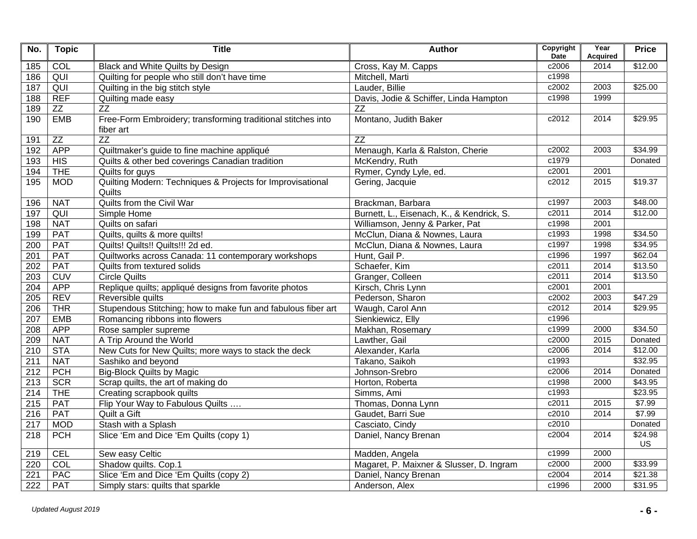| No.              | <b>Topic</b> | <b>Title</b>                                                              | <b>Author</b>                             | Copyright<br><b>Date</b> | Year<br><b>Acquired</b> | <b>Price</b>  |
|------------------|--------------|---------------------------------------------------------------------------|-------------------------------------------|--------------------------|-------------------------|---------------|
| 185              | COL          | Black and White Quilts by Design                                          | Cross, Kay M. Capps                       | c2006                    | 2014                    | \$12.00       |
| 186              | QUI          | Quilting for people who still don't have time                             | Mitchell, Marti                           | c1998                    |                         |               |
| 187              | QUI          | Quilting in the big stitch style                                          | Lauder, Billie                            | c2002                    | 2003                    | \$25.00       |
| 188              | <b>REF</b>   | Quilting made easy                                                        | Davis, Jodie & Schiffer, Linda Hampton    | c1998                    | 1999                    |               |
| 189              | ZZ           | $\overline{ZZ}$                                                           | $\overline{ZZ}$                           |                          |                         |               |
| 190              | <b>EMB</b>   | Free-Form Embroidery; transforming traditional stitches into<br>fiber art | Montano, Judith Baker                     | c2012                    | 2014                    | \$29.95       |
| 191              | ZZ           | <b>ZZ</b>                                                                 | <b>ZZ</b>                                 |                          |                         |               |
| 192              | <b>APP</b>   | Quiltmaker's guide to fine machine appliqué                               | Menaugh, Karla & Ralston, Cherie          | c2002                    | 2003                    | \$34.99       |
| 193              | HIS          | Quilts & other bed coverings Canadian tradition                           | McKendry, Ruth                            | c1979                    |                         | Donated       |
| 194              | <b>THE</b>   | Quilts for guys                                                           | Rymer, Cyndy Lyle, ed.                    | c2001                    | 2001                    |               |
| 195              | <b>MOD</b>   | Quilting Modern: Techniques & Projects for Improvisational<br>Quilts      | Gering, Jacquie                           | c2012                    | 2015                    | \$19.37       |
| 196              | <b>NAT</b>   | Quilts from the Civil War                                                 | Brackman, Barbara                         | c1997                    | 2003                    | \$48.00       |
| 197              | QUI          | Simple Home                                                               | Burnett, L., Eisenach, K., & Kendrick, S. | c2011                    | 2014                    | \$12.00       |
| 198              | <b>NAT</b>   | Quilts on safari                                                          | Williamson, Jenny & Parker, Pat           | c1998                    | 2001                    |               |
| 199              | <b>PAT</b>   | Quilts, quilts & more quilts!                                             | McClun, Diana & Nownes, Laura             | c1993                    | 1998                    | \$34.50       |
| 200              | <b>PAT</b>   | Quilts! Quilts!! Quilts!!! 2d ed.                                         | McClun, Diana & Nownes, Laura             | c1997                    | 1998                    | \$34.95       |
| 201              | PAT          | Quiltworks across Canada: 11 contemporary workshops                       | Hunt, Gail P.                             | c1996                    | 1997                    | \$62.04       |
| 202              | PAT          | Quilts from textured solids                                               | Schaefer, Kim                             | c2011                    | 2014                    | \$13.50       |
| 203              | <b>CUV</b>   | <b>Circle Quilts</b>                                                      | Granger, Colleen                          | c2011                    | 2014                    | \$13.50       |
| 204              | <b>APP</b>   | Replique quilts; appliqué designs from favorite photos                    | Kirsch, Chris Lynn                        | c2001                    | 2001                    |               |
| 205              | <b>REV</b>   | Reversible quilts                                                         | Pederson, Sharon                          | c2002                    | 2003                    | \$47.29       |
| 206              | <b>THR</b>   | Stupendous Stitching; how to make fun and fabulous fiber art              | Waugh, Carol Ann                          | c2012                    | 2014                    | \$29.95       |
| 207              | <b>EMB</b>   | Romancing ribbons into flowers                                            | Sienkiewicz, Elly                         | c1996                    |                         |               |
| $\overline{208}$ | <b>APP</b>   | Rose sampler supreme                                                      | Makhan, Rosemary                          | c1999                    | 2000                    | \$34.50       |
| 209              | <b>NAT</b>   | A Trip Around the World                                                   | Lawther, Gail                             | c2000                    | 2015                    | Donated       |
| 210              | <b>STA</b>   | New Cuts for New Quilts; more ways to stack the deck                      | Alexander, Karla                          | c2006                    | 2014                    | \$12.00       |
| 211              | <b>NAT</b>   | Sashiko and beyond                                                        | Takano, Saikoh                            | c1993                    |                         | \$32.95       |
| 212              | PCH          | <b>Big-Block Quilts by Magic</b>                                          | Johnson-Srebro                            | c2006                    | 2014                    | Donated       |
| 213              | <b>SCR</b>   | Scrap quilts, the art of making do                                        | Horton, Roberta                           | c1998                    | 2000                    | \$43.95       |
| 214              | <b>THE</b>   | Creating scrapbook quilts                                                 | Simms, Ami                                | c1993                    |                         | \$23.95       |
| 215              | <b>PAT</b>   | Flip Your Way to Fabulous Quilts                                          | Thomas, Donna Lynn                        | c2011                    | 2015                    | \$7.99        |
| 216              | <b>PAT</b>   | Quilt a Gift                                                              | Gaudet, Barri Sue                         | c2010                    | 2014                    | \$7.99        |
| 217              | <b>MOD</b>   | Stash with a Splash                                                       | Casciato, Cindy                           | c2010                    |                         | Donated       |
| 218              | PCH          | Slice 'Em and Dice 'Em Quilts (copy 1)                                    | Daniel, Nancy Brenan                      | c2004                    | 2014                    | \$24.98<br>US |
| 219              | <b>CEL</b>   | Sew easy Celtic                                                           | Madden, Angela                            | c1999                    | 2000                    |               |
| 220              | COL          | Shadow quilts. Cop.1                                                      | Magaret, P. Maixner & Slusser, D. Ingram  | c2000                    | 2000                    | \$33.99       |
| 221              | <b>PAC</b>   | Slice 'Em and Dice 'Em Quilts (copy 2)                                    | Daniel, Nancy Brenan                      | c2004                    | 2014                    | \$21.38       |
| $\overline{222}$ | <b>PAT</b>   | Simply stars: quilts that sparkle                                         | Anderson, Alex                            | c1996                    | 2000                    | \$31.95       |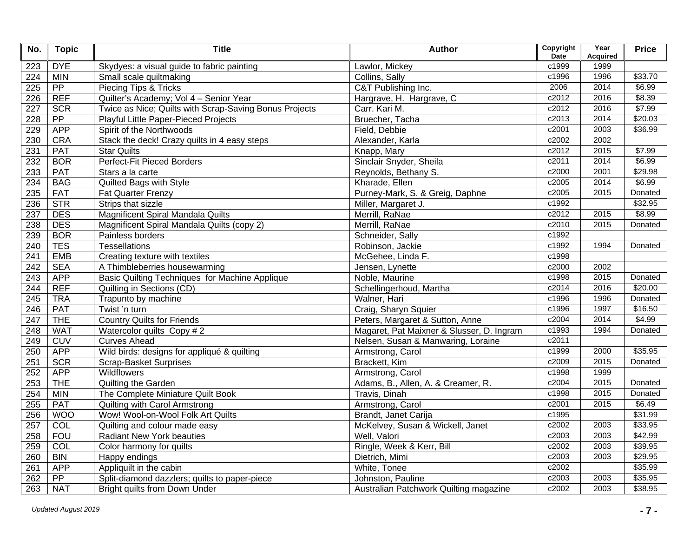| No. | <b>Topic</b>    | <b>Title</b>                                           | <b>Author</b>                             | Copyright<br><b>Date</b> | Year<br><b>Acquired</b> | <b>Price</b> |
|-----|-----------------|--------------------------------------------------------|-------------------------------------------|--------------------------|-------------------------|--------------|
| 223 | <b>DYE</b>      | Skydyes: a visual guide to fabric painting             | Lawlor, Mickey                            | c1999                    | 1999                    |              |
| 224 | <b>MIN</b>      | Small scale quiltmaking                                | Collins, Sally                            | c1996                    | 1996                    | \$33.70      |
| 225 | $\overline{PP}$ | Piecing Tips & Tricks                                  | C&T Publishing Inc.                       | 2006                     | 2014                    | \$6.99       |
| 226 | <b>REF</b>      | Quilter's Academy; Vol 4 - Senior Year                 | Hargrave, H. Hargrave, C                  | c2012                    | 2016                    | \$8.39       |
| 227 | <b>SCR</b>      | Twice as Nice; Quilts with Scrap-Saving Bonus Projects | Carr. Kari M.                             | c2012                    | 2016                    | \$7.99       |
| 228 | PP              | Playful Little Paper-Pieced Projects                   | Bruecher, Tacha                           | c2013                    | 2014                    | \$20.03      |
| 229 | <b>APP</b>      | Spirit of the Northwoods                               | Field, Debbie                             | c2001                    | 2003                    | \$36.99      |
| 230 | <b>CRA</b>      | Stack the deck! Crazy quilts in 4 easy steps           | Alexander, Karla                          | c2002                    | 2002                    |              |
| 231 | <b>PAT</b>      | <b>Star Quilts</b>                                     | Knapp, Mary                               | c2012                    | 2015                    | \$7.99       |
| 232 | <b>BOR</b>      | <b>Perfect-Fit Pieced Borders</b>                      | Sinclair Snyder, Sheila                   | c2011                    | 2014                    | \$6.99       |
| 233 | <b>PAT</b>      | Stars a la carte                                       | Reynolds, Bethany S.                      | c2000                    | 2001                    | \$29.98      |
| 234 | <b>BAG</b>      | Quilted Bags with Style                                | Kharade, Ellen                            | c2005                    | 2014                    | \$6.99       |
| 235 | <b>FAT</b>      | <b>Fat Quarter Frenzy</b>                              | Purney-Mark, S. & Greig, Daphne           | c2005                    | 2015                    | Donated      |
| 236 | <b>STR</b>      | Strips that sizzle                                     | Miller, Margaret J.                       | c1992                    |                         | \$32.95      |
| 237 | <b>DES</b>      | Magnificent Spiral Mandala Quilts                      | Merrill, RaNae                            | c2012                    | 2015                    | \$8.99       |
| 238 | <b>DES</b>      | Magnificent Spiral Mandala Quilts (copy 2)             | Merrill, RaNae                            | c2010                    | 2015                    | Donated      |
| 239 | <b>BOR</b>      | Painless borders                                       | Schneider, Sally                          | c1992                    |                         |              |
| 240 | <b>TES</b>      | <b>Tessellations</b>                                   | Robinson, Jackie                          | c1992                    | 1994                    | Donated      |
| 241 | <b>EMB</b>      | Creating texture with textiles                         | McGehee, Linda F.                         | $\overline{c1998}$       |                         |              |
| 242 | <b>SEA</b>      | A Thimbleberries housewarming                          | Jensen, Lynette                           | c2000                    | 2002                    |              |
| 243 | <b>APP</b>      | Basic Quilting Techniques for Machine Applique         | Noble, Maurine                            | c1998                    | 2015                    | Donated      |
| 244 | <b>REF</b>      | Quilting in Sections (CD)                              | Schellingerhoud, Martha                   | c2014                    | 2016                    | \$20.00      |
| 245 | <b>TRA</b>      | Trapunto by machine                                    | Walner, Hari                              | c1996                    | 1996                    | Donated      |
| 246 | <b>PAT</b>      | Twist 'n turn                                          | Craig, Sharyn Squier                      | c1996                    | 1997                    | \$16.50      |
| 247 | <b>THE</b>      | <b>Country Quilts for Friends</b>                      | Peters, Margaret & Sutton, Anne           | c2004                    | 2014                    | \$4.99       |
| 248 | <b>WAT</b>      | Watercolor quilts Copy #2                              | Magaret, Pat Maixner & Slusser, D. Ingram | c1993                    | 1994                    | Donated      |
| 249 | CUV             | <b>Curves Ahead</b>                                    | Nelsen, Susan & Manwaring, Loraine        | c2011                    |                         |              |
| 250 | <b>APP</b>      | Wild birds: designs for appliqué & quilting            | Armstrong, Carol                          | c1999                    | 2000                    | \$35.95      |
| 251 | <b>SCR</b>      | <b>Scrap-Basket Surprises</b>                          | Brackett, Kim                             | c2009                    | 2015                    | Donated      |
| 252 | <b>APP</b>      | <b>Wildflowers</b>                                     | Armstrong, Carol                          | c1998                    | 1999                    |              |
| 253 | <b>THE</b>      | Quilting the Garden                                    | Adams, B., Allen, A. & Creamer, R.        | c2004                    | 2015                    | Donated      |
| 254 | <b>MIN</b>      | The Complete Miniature Quilt Book                      | <b>Travis, Dinah</b>                      | c1998                    | 2015                    | Donated      |
| 255 | <b>PAT</b>      | Quilting with Carol Armstrong                          | Armstrong, Carol                          | c2001                    | 2015                    | \$6.49       |
| 256 | <b>WOO</b>      | Wow! Wool-on-Wool Folk Art Quilts                      | Brandt, Janet Carija                      | c1995                    |                         | \$31.99      |
| 257 | COL             | Quilting and colour made easy                          | McKelvey, Susan & Wickell, Janet          | c2002                    | 2003                    | \$33.95      |
| 258 | <b>FOU</b>      | <b>Radiant New York beauties</b>                       | Well, Valori                              | c2003                    | 2003                    | \$42.99      |
| 259 | COL             | Color harmony for quilts                               | Ringle, Week & Kerr, Bill                 | c2002                    | 2003                    | \$39.95      |
| 260 | <b>BIN</b>      | <b>Happy endings</b>                                   | Dietrich, Mimi                            | c2003                    | 2003                    | \$29.95      |
| 261 | <b>APP</b>      | Appliquilt in the cabin                                | White, Tonee                              | c2002                    |                         | \$35.99      |
| 262 | $\overline{PP}$ | Split-diamond dazzlers; quilts to paper-piece          | Johnston, Pauline                         | c2003                    | 2003                    | \$35.95      |
| 263 | <b>NAT</b>      | <b>Bright quilts from Down Under</b>                   | Australian Patchwork Quilting magazine    | c2002                    | 2003                    | \$38.95      |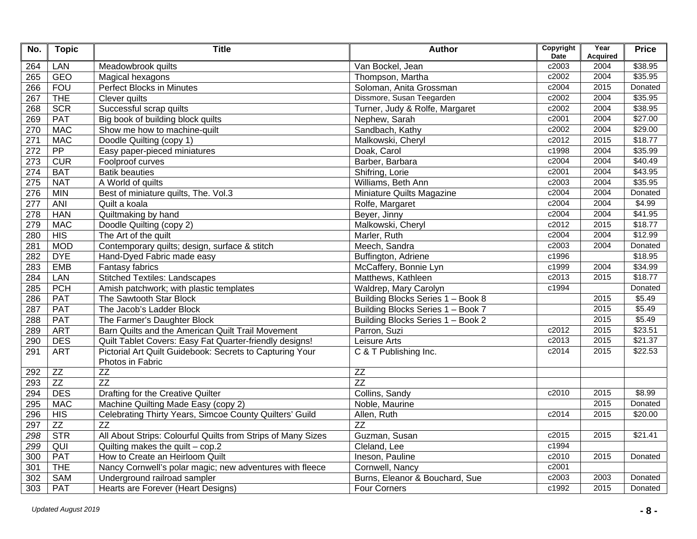| No. | <b>Topic</b>    | <b>Title</b>                                                                 | <b>Author</b>                     | Copyright<br><b>Date</b> | Year<br><b>Acquired</b> | <b>Price</b> |
|-----|-----------------|------------------------------------------------------------------------------|-----------------------------------|--------------------------|-------------------------|--------------|
| 264 | LAN             | Meadowbrook quilts                                                           | Van Bockel, Jean                  | c2003                    | 2004                    | \$38.95      |
| 265 | <b>GEO</b>      | Magical hexagons                                                             | Thompson, Martha                  | c2002                    | 2004                    | \$35.95      |
| 266 | <b>FOU</b>      | Perfect Blocks in Minutes                                                    | Soloman, Anita Grossman           | c2004                    | 2015                    | Donated      |
| 267 | <b>THE</b>      | Clever quilts                                                                | Dissmore, Susan Teegarden         | c2002                    | 2004                    | \$35.95      |
| 268 | <b>SCR</b>      | Successful scrap quilts                                                      | Turner, Judy & Rolfe, Margaret    | c2002                    | 2004                    | \$38.95      |
| 269 | <b>PAT</b>      | Big book of building block quilts                                            | Nephew, Sarah                     | c2001                    | 2004                    | \$27.00      |
| 270 | <b>MAC</b>      | Show me how to machine-quilt                                                 | Sandbach, Kathy                   | c2002                    | 2004                    | \$29.00      |
| 271 | <b>MAC</b>      | Doodle Quilting (copy 1)                                                     | Malkowski, Cheryl                 | c2012                    | 2015                    | \$18.77      |
| 272 | $\overline{PP}$ | Easy paper-pieced miniatures                                                 | Doak, Carol                       | c1998                    | 2004                    | \$35.99      |
| 273 | CUR             | Foolproof curves                                                             | Barber, Barbara                   | c2004                    | 2004                    | \$40.49      |
| 274 | <b>BAT</b>      | <b>Batik beauties</b>                                                        | Shifring, Lorie                   | c2001                    | 2004                    | \$43.95      |
| 275 | <b>NAT</b>      | A World of quilts                                                            | Williams, Beth Ann                | c2003                    | 2004                    | \$35.95      |
| 276 | <b>MIN</b>      | Best of miniature quilts, The. Vol.3                                         | Miniature Quilts Magazine         | c2004                    | 2004                    | Donated      |
| 277 | <b>ANI</b>      | Quilt a koala                                                                | Rolfe, Margaret                   | c2004                    | 2004                    | \$4.99       |
| 278 | <b>HAN</b>      | Quiltmaking by hand                                                          | Beyer, Jinny                      | c2004                    | 2004                    | \$41.95      |
| 279 | <b>MAC</b>      | Doodle Quilting (copy 2)                                                     | Malkowski, Cheryl                 | c2012                    | 2015                    | \$18.77      |
| 280 | HIS             | The Art of the quilt                                                         | Marler, Ruth                      | c2004                    | 2004                    | \$12.99      |
| 281 | <b>MOD</b>      | Contemporary quilts; design, surface & stitch                                | Meech, Sandra                     | c2003                    | 2004                    | Donated      |
| 282 | <b>DYE</b>      | Hand-Dyed Fabric made easy                                                   | Buffington, Adriene               | c1996                    |                         | \$18.95      |
| 283 | <b>EMB</b>      | <b>Fantasy fabrics</b>                                                       | McCaffery, Bonnie Lyn             | c1999                    | 2004                    | \$34.99      |
| 284 | LAN             | <b>Stitched Textiles: Landscapes</b>                                         | Matthews, Kathleen                | c2013                    | 2015                    | \$18.77      |
| 285 | PCH             | Amish patchwork; with plastic templates                                      | Waldrep, Mary Carolyn             | c1994                    |                         | Donated      |
| 286 | <b>PAT</b>      | The Sawtooth Star Block                                                      | Building Blocks Series 1 - Book 8 |                          | 2015                    | \$5.49       |
| 287 | <b>PAT</b>      | The Jacob's Ladder Block                                                     | Building Blocks Series 1 - Book 7 |                          | 2015                    | \$5.49       |
| 288 | <b>PAT</b>      | The Farmer's Daughter Block                                                  | Building Blocks Series 1 - Book 2 |                          | 2015                    | \$5.49       |
| 289 | <b>ART</b>      | Barn Quilts and the American Quilt Trail Movement                            | Parron, Suzi                      | c2012                    | 2015                    | \$23.51      |
| 290 | <b>DES</b>      | Quilt Tablet Covers: Easy Fat Quarter-friendly designs!                      | Leisure Arts                      | c2013                    | 2015                    | \$21.37      |
| 291 | <b>ART</b>      | Pictorial Art Quilt Guidebook: Secrets to Capturing Your<br>Photos in Fabric | C & T Publishing Inc.             | c2014                    | 2015                    | \$22.53      |
| 292 | ZZ              | ZZ                                                                           | $\overline{ZZ}$                   |                          |                         |              |
| 293 | $\overline{ZZ}$ | $\overline{ZZ}$                                                              | $\overline{ZZ}$                   |                          |                         |              |
| 294 | <b>DES</b>      | Drafting for the Creative Quilter                                            | Collins, Sandy                    | c2010                    | 2015                    | \$8.99       |
| 295 | <b>MAC</b>      | Machine Quilting Made Easy (copy 2)                                          | Noble, Maurine                    |                          | 2015                    | Donated      |
| 296 | HIS             | Celebrating Thirty Years, Simcoe County Quilters' Guild                      | Allen, Ruth                       | c2014                    | 2015                    | \$20.00      |
| 297 | ZZ              | $\overline{ZZ}$                                                              | $\overline{ZZ}$                   |                          |                         |              |
| 298 | <b>STR</b>      | All About Strips: Colourful Quilts from Strips of Many Sizes                 | Guzman, Susan                     | c2015                    | 2015                    | \$21.41      |
| 299 | QUI             | Quilting makes the quilt $-$ cop.2                                           | Cleland, Lee                      | c1994                    |                         |              |
| 300 | <b>PAT</b>      | How to Create an Heirloom Quilt                                              | Ineson, Pauline                   | c2010                    | 2015                    | Donated      |
| 301 | <b>THE</b>      | Nancy Cornwell's polar magic; new adventures with fleece                     | Cornwell, Nancy                   | c2001                    |                         |              |
| 302 | SAM             | Underground railroad sampler                                                 | Burns, Eleanor & Bouchard, Sue    | c2003                    | 2003                    | Donated      |
| 303 | PAT             | Hearts are Forever (Heart Designs)                                           | <b>Four Corners</b>               | c1992                    | 2015                    | Donated      |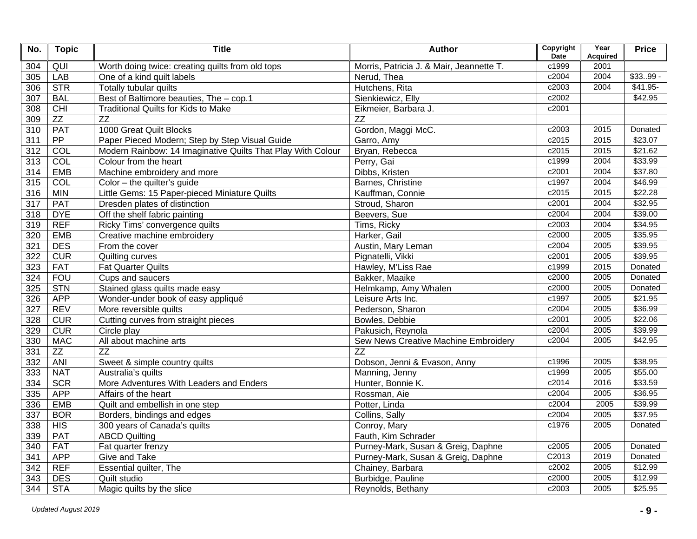| No.             | <b>Topic</b> | <b>Title</b>                                                | <b>Author</b>                            | Copyright<br><b>Date</b> | Year<br><b>Acquired</b> | <b>Price</b> |
|-----------------|--------------|-------------------------------------------------------------|------------------------------------------|--------------------------|-------------------------|--------------|
| 304             | QUI          | Worth doing twice: creating quilts from old tops            | Morris, Patricia J. & Mair, Jeannette T. | c1999                    | 2001                    |              |
| 305             | <b>LAB</b>   | One of a kind quilt labels                                  | Nerud, Thea                              | c2004                    | 2004                    | $$3399 -$    |
| 306             | STR          | Totally tubular quilts                                      | Hutchens, Rita                           | c2003                    | 2004                    | $$41.95-$    |
| 307             | <b>BAL</b>   | Best of Baltimore beauties, The - cop.1                     | Sienkiewicz, Elly                        | c2002                    |                         | \$42.95      |
| 308             | CHI          | <b>Traditional Quilts for Kids to Make</b>                  | Eikmeier, Barbara J.                     | c2001                    |                         |              |
| 309             | ZZ           | $\overline{ZZ}$                                             | ZZ                                       |                          |                         |              |
| 310             | PAT          | 1000 Great Quilt Blocks                                     | Gordon, Maggi McC.                       | c2003                    | 2015                    | Donated      |
| 311             | PP           | Paper Pieced Modern; Step by Step Visual Guide              | Garro, Amy                               | c2015                    | 2015                    | \$23.07      |
| 312             | COL          | Modern Rainbow: 14 Imaginative Quilts That Play With Colour | Bryan, Rebecca                           | c2015                    | 2015                    | \$21.62      |
| 313             | COL          | Colour from the heart                                       | Perry, Gai                               | c1999                    | 2004                    | \$33.99      |
| 314             | <b>EMB</b>   | Machine embroidery and more                                 | Dibbs, Kristen                           | c2001                    | 2004                    | \$37.80      |
| 315             | COL          | Color - the quilter's guide                                 | Barnes, Christine                        | c1997                    | 2004                    | \$46.99      |
| 316             | <b>MIN</b>   | Little Gems: 15 Paper-pieced Miniature Quilts               | Kauffman, Connie                         | c2015                    | 2015                    | \$22.28      |
| 317             | <b>PAT</b>   | Dresden plates of distinction                               | Stroud, Sharon                           | c2001                    | 2004                    | \$32.95      |
| 318             | <b>DYE</b>   | Off the shelf fabric painting                               | Beevers, Sue                             | c2004                    | 2004                    | \$39.00      |
| 319             | <b>REF</b>   | Ricky Tims' convergence quilts                              | Tims, Ricky                              | c2003                    | 2004                    | \$34.95      |
| 320             | <b>EMB</b>   | Creative machine embroidery                                 | Harker, Gail                             | c2000                    | 2005                    | \$35.95      |
| 321             | <b>DES</b>   | From the cover                                              | Austin, Mary Leman                       | c2004                    | 2005                    | \$39.95      |
| 322             | CUR          | Quilting curves                                             | Pignatelli, Vikki                        | c2001                    | 2005                    | \$39.95      |
| 323             | <b>FAT</b>   | <b>Fat Quarter Quilts</b>                                   | Hawley, M'Liss Rae                       | c1999                    | 2015                    | Donated      |
| 324             | <b>FOU</b>   | Cups and saucers                                            | Bakker, Maaike                           | c2000                    | 2005                    | Donated      |
| 325             | <b>STN</b>   | Stained glass quilts made easy                              | Helmkamp, Amy Whalen                     | c2000                    | 2005                    | Donated      |
| 326             | <b>APP</b>   | Wonder-under book of easy appliqué                          | Leisure Arts Inc.                        | c1997                    | 2005                    | \$21.95      |
| 327             | <b>REV</b>   | More reversible quilts                                      | Pederson, Sharon                         | c2004                    | 2005                    | \$36.99      |
| 328             | CUR          | Cutting curves from straight pieces                         | Bowles, Debbie                           | c2001                    | 2005                    | \$22.06      |
| 329             | CUR          | Circle play                                                 | Pakusich, Reynola                        | c2004                    | 2005                    | \$39.99      |
| 330             | <b>MAC</b>   | All about machine arts                                      | Sew News Creative Machine Embroidery     | c2004                    | 2005                    | \$42.95      |
| 331             | ZZ           | $\overline{ZZ}$                                             | ZZ                                       |                          |                         |              |
| 332             | <b>ANI</b>   | Sweet & simple country quilts                               | Dobson, Jenni & Evason, Anny             | c1996                    | 2005                    | \$38.95      |
| 333             | <b>NAT</b>   | Australia's quilts                                          | Manning, Jenny                           | c1999                    | 2005                    | \$55.00      |
| 334             | <b>SCR</b>   | More Adventures With Leaders and Enders                     | Hunter, Bonnie K.                        | c2014                    | 2016                    | \$33.59      |
| 335             | <b>APP</b>   | Affairs of the heart                                        | Rossman, Aie                             | c2004                    | 2005                    | \$36.95      |
| 336             | <b>EMB</b>   | Quilt and embellish in one step                             | Potter, Linda                            | c2004                    | 2005                    | \$39.99      |
| 337             | <b>BOR</b>   | Borders, bindings and edges                                 | Collins, Sally                           | c2004                    | 2005                    | \$37.95      |
| 338             | HIS          | 300 years of Canada's quilts                                | Conroy, Mary                             | c1976                    | 2005                    | Donated      |
| 339             | <b>PAT</b>   | <b>ABCD Quilting</b>                                        | Fauth, Kim Schrader                      |                          |                         |              |
| 340             | <b>FAT</b>   | Fat quarter frenzy                                          | Purney-Mark, Susan & Greig, Daphne       | c2005                    | 2005                    | Donated      |
| 341             | <b>APP</b>   | <b>Give and Take</b>                                        | Purney-Mark, Susan & Greig, Daphne       | C <sub>2013</sub>        | 2019                    | Donated      |
| 342             | <b>REF</b>   | <b>Essential quilter, The</b>                               | Chainey, Barbara                         | c2002                    | 2005                    | \$12.99      |
| $\frac{1}{343}$ | <b>DES</b>   | Quilt studio                                                | Burbidge, Pauline                        | c2000                    | 2005                    | \$12.99      |
| 344             | <b>STA</b>   | Magic quilts by the slice                                   | Reynolds, Bethany                        | c2003                    | 2005                    | \$25.95      |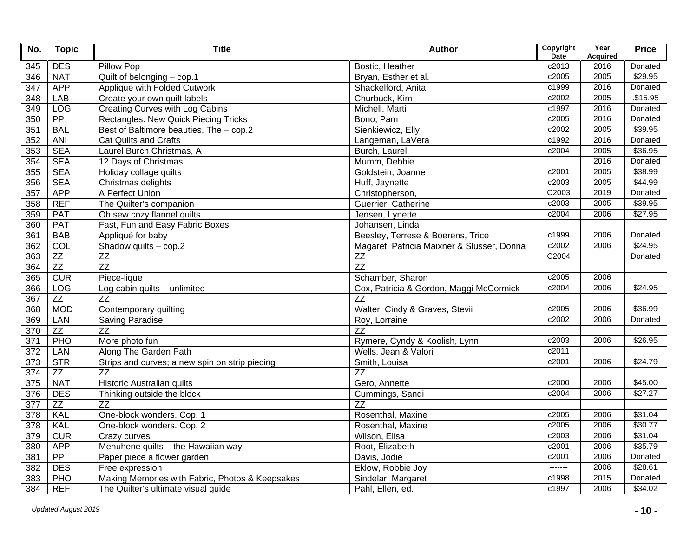| No.              | <b>Topic</b>    | <b>Title</b>                                    | Author                                     | Copyright<br>Date | Year<br><b>Acquired</b> | <b>Price</b> |
|------------------|-----------------|-------------------------------------------------|--------------------------------------------|-------------------|-------------------------|--------------|
| 345              | <b>DES</b>      | Pillow Pop                                      | Bostic, Heather                            | c2013             | 2016                    | Donated      |
| 346              | <b>NAT</b>      | Quilt of belonging - cop.1                      | Bryan, Esther et al.                       | c2005             | 2005                    | \$29.95      |
| 347              | <b>APP</b>      | Applique with Folded Cutwork                    | Shackelford, Anita                         | c1999             | 2016                    | Donated      |
| 348              | <b>LAB</b>      | Create your own quilt labels                    | Churbuck, Kim                              | c2002             | 2005                    | \$15.95      |
| 349              | <b>LOG</b>      | Creating Curves with Log Cabins                 | Michell. Marti                             | c1997             | 2016                    | Donated      |
| 350              | PP              | Rectangles: New Quick Piecing Tricks            | Bono, Pam                                  | c2005             | 2016                    | Donated      |
| 351              | <b>BAL</b>      | Best of Baltimore beauties, The - cop.2         | Sienkiewicz, Elly                          | c2002             | 2005                    | \$39.95      |
| 352              | <b>ANI</b>      | <b>Cat Quilts and Crafts</b>                    | Langeman, LaVera                           | c1992             | 2016                    | Donated      |
| 353              | <b>SEA</b>      | Laurel Burch Christmas, A                       | Burch, Laurel                              | c2004             | 2005                    | \$36.95      |
| 354              | <b>SEA</b>      | 12 Days of Christmas                            | Mumm, Debbie                               |                   | 2016                    | Donated      |
| 355              | <b>SEA</b>      | Holiday collage quilts                          | Goldstein, Joanne                          | c2001             | 2005                    | \$38.99      |
| 356              | <b>SEA</b>      | Christmas delights                              | Huff, Jaynette                             | c2003             | 2005                    | \$44.99      |
| 357              | <b>APP</b>      | A Perfect Union                                 | Christopherson,                            | C2003             | 2019                    | Donated      |
| 358              | <b>REF</b>      | The Quilter's companion                         | Guerrier, Catherine                        | c2003             | 2005                    | \$39.95      |
| 359              | <b>PAT</b>      | Oh sew cozy flannel quilts                      | Jensen, Lynette                            | c2004             | 2006                    | \$27.95      |
| 360              | <b>PAT</b>      | Fast, Fun and Easy Fabric Boxes                 | Johansen, Linda                            |                   |                         |              |
| 361              | <b>BAB</b>      | Appliqué for baby                               | Beesley, Terrese & Boerens, Trice          | c1999             | 2006                    | Donated      |
| 362              | COL             | Shadow quilts $-$ cop.2                         | Magaret, Patricia Maixner & Slusser, Donna | c2002             | 2006                    | \$24.95      |
| 363              | ZZ              | <b>ZZ</b>                                       | $\overline{ZZ}$                            | C2004             |                         | Donated      |
| 364              | ZZ              | ZZ                                              | $\overline{ZZ}$                            |                   |                         |              |
| 365              | CUR             | Piece-lique                                     | Schamber, Sharon                           | c2005             | 2006                    |              |
| 366              | <b>LOG</b>      | Log cabin quilts - unlimited                    | Cox, Patricia & Gordon, Maggi McCormick    | c2004             | 2006                    | \$24.95      |
| 367              | ZZ              | $\overline{ZZ}$                                 | $\overline{ZZ}$                            |                   |                         |              |
| 368              | <b>MOD</b>      | Contemporary quilting                           | Walter, Cindy & Graves, Stevii             | c2005             | 2006                    | \$36.99      |
| 369              | LAN             | <b>Saving Paradise</b>                          | Roy, Lorraine                              | c2002             | 2006                    | Donated      |
| 370              | ZZ              | ZZ                                              | $\overline{ZZ}$                            |                   |                         |              |
| 371              | PHO             | More photo fun                                  | Rymere, Cyndy & Koolish, Lynn              | c2003             | 2006                    | \$26.95      |
| 372              | LAN             | Along The Garden Path                           | Wells, Jean & Valori                       | c2011             |                         |              |
| 373              | <b>STR</b>      | Strips and curves; a new spin on strip piecing  | Smith, Louisa                              | c2001             | 2006                    | \$24.79      |
| 374              | ZZ              | $\overline{ZZ}$                                 | $\overline{ZZ}$                            |                   |                         |              |
| $\frac{1}{375}$  | <b>NAT</b>      | Historic Australian quilts                      | Gero, Annette                              | c2000             | 2006                    | \$45.00      |
| 376              | <b>DES</b>      | Thinking outside the block                      | Cummings, Sandi                            | c2004             | 2006                    | \$27.27      |
| 377              | ZZ              | $\overline{ZZ}$                                 | $\overline{ZZ}$                            |                   |                         |              |
| 378              | <b>KAL</b>      | One-block wonders. Cop. 1                       | Rosenthal, Maxine                          | c2005             | 2006                    | \$31.04      |
| $\overline{378}$ | KAL             | One-block wonders. Cop. 2                       | Rosenthal, Maxine                          | c2005             | 2006                    | \$30.77      |
| 379              | CUR             | Crazy curves                                    | Wilson, Elisa                              | c2003             | 2006                    | \$31.04      |
| 380              | <b>APP</b>      | Menuhene quilts - the Hawaiian way              | Root, Elizabeth                            | c2001             | 2006                    | \$35.79      |
| 381              | $\overline{PP}$ | Paper piece a flower garden                     | Davis, Jodie                               | c2001             | 2006                    | Donated      |
| 382              | <b>DES</b>      | Free expression                                 | Eklow, Robbie Joy                          | -------           | 2006                    | \$28.61      |
| 383              | PHO             | Making Memories with Fabric, Photos & Keepsakes | Sindelar, Margaret                         | c1998             | 2015                    | Donated      |
| 384              | <b>REF</b>      | The Quilter's ultimate visual guide             | Pahl, Ellen, ed.                           | c1997             | 2006                    | \$34.02      |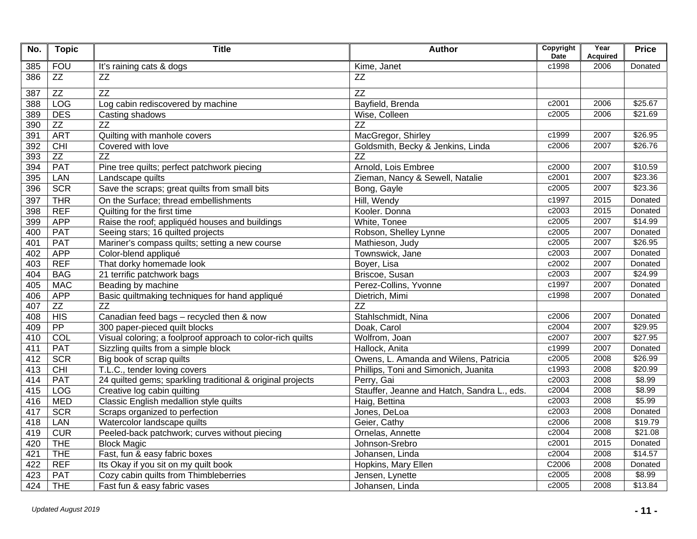| No. | <b>Topic</b>    | <b>Title</b>                                               | <b>Author</b>                               | Copyright<br><b>Date</b> | Year<br><b>Acquired</b> | <b>Price</b> |
|-----|-----------------|------------------------------------------------------------|---------------------------------------------|--------------------------|-------------------------|--------------|
| 385 | <b>FOU</b>      | It's raining cats & dogs                                   | Kime, Janet                                 | c1998                    | 2006                    | Donated      |
| 386 | ZZ              | $\overline{ZZ}$                                            | $\overline{ZZ}$                             |                          |                         |              |
| 387 | ZZ              | $\overline{ZZ}$                                            | $\overline{ZZ}$                             |                          |                         |              |
| 388 | LOG             | Log cabin rediscovered by machine                          | Bayfield, Brenda                            | c2001                    | 2006                    | \$25.67      |
| 389 | <b>DES</b>      | Casting shadows                                            | Wise, Colleen                               | c2005                    | 2006                    | \$21.69      |
| 390 | ZZ              | $\overline{ZZ}$                                            | $\overline{ZZ}$                             |                          |                         |              |
| 391 | <b>ART</b>      | Quilting with manhole covers                               | MacGregor, Shirley                          | c1999                    | 2007                    | \$26.95      |
| 392 | CHI             | Covered with love                                          | Goldsmith, Becky & Jenkins, Linda           | c2006                    | 2007                    | \$26.76      |
| 393 | ZZ              | ZZ                                                         | $\overline{ZZ}$                             |                          |                         |              |
| 394 | <b>PAT</b>      | Pine tree quilts; perfect patchwork piecing                | Arnold, Lois Embree                         | c2000                    | 2007                    | \$10.59      |
| 395 | LAN             | Landscape quilts                                           | Zieman, Nancy & Sewell, Natalie             | c2001                    | 2007                    | \$23.36      |
| 396 | <b>SCR</b>      | Save the scraps; great quilts from small bits              | Bong, Gayle                                 | c2005                    | 2007                    | \$23.36      |
| 397 | <b>THR</b>      | On the Surface; thread embellishments                      | Hill, Wendy                                 | c1997                    | 2015                    | Donated      |
| 398 | <b>REF</b>      | Quilting for the first time                                | Kooler. Donna                               | c2003                    | 2015                    | Donated      |
| 399 | <b>APP</b>      | Raise the roof; appliquéd houses and buildings             | White, Tonee                                | c2005                    | 2007                    | \$14.99      |
| 400 | PAT             | Seeing stars; 16 quilted projects                          | Robson, Shelley Lynne                       | c2005                    | 2007                    | Donated      |
| 401 | <b>PAT</b>      | Mariner's compass quilts; setting a new course             | Mathieson, Judy                             | c2005                    | 2007                    | \$26.95      |
| 402 | <b>APP</b>      | Color-blend appliqué                                       | Townswick, Jane                             | c2003                    | 2007                    | Donated      |
| 403 | <b>REF</b>      | That dorky homemade look                                   | Boyer, Lisa                                 | c2002                    | 2007                    | Donated      |
| 404 | <b>BAG</b>      | 21 terrific patchwork bags                                 | Briscoe, Susan                              | c2003                    | 2007                    | \$24.99      |
| 405 | <b>MAC</b>      | Beading by machine                                         | Perez-Collins, Yvonne                       | c1997                    | 2007                    | Donated      |
| 406 | <b>APP</b>      | Basic quiltmaking techniques for hand appliqué             | Dietrich, Mimi                              | c1998                    | 2007                    | Donated      |
| 407 | ZZ              | ZZ                                                         | $\overline{ZZ}$                             |                          |                         |              |
| 408 | HIS             | Canadian feed bags - recycled then & now                   | Stahlschmidt, Nina                          | c2006                    | 2007                    | Donated      |
| 409 | $\overline{PP}$ | 300 paper-pieced quilt blocks                              | Doak, Carol                                 | c2004                    | 2007                    | 329.95       |
| 410 | COL             | Visual coloring; a foolproof approach to color-rich quilts | Wolfrom, Joan                               | c2007                    | 2007                    | \$27.95      |
| 411 | <b>PAT</b>      | Sizzling quilts from a simple block                        | Hallock, Anita                              | c1999                    | 2007                    | Donated      |
| 412 | <b>SCR</b>      | Big book of scrap quilts                                   | Owens, L. Amanda and Wilens, Patricia       | c2005                    | 2008                    | \$26.99      |
| 413 | CHI             | T.L.C., tender loving covers                               | Phillips, Toni and Simonich, Juanita        | c1993                    | 2008                    | \$20.99      |
| 414 | <b>PAT</b>      | 24 quilted gems; sparkling traditional & original projects | Perry, Gai                                  | c2003                    | 2008                    | \$8.99       |
| 415 | LOG             | Creative log cabin quilting                                | Stauffer, Jeanne and Hatch, Sandra L., eds. | c2004                    | 2008                    | \$8.99       |
| 416 | <b>MED</b>      | Classic English medallion style quilts                     | Haig, Bettina                               | c2003                    | 2008                    | \$5.99       |
| 417 | <b>SCR</b>      | Scraps organized to perfection                             | Jones, DeLoa                                | c2003                    | 2008                    | Donated      |
| 418 | LAN             | Watercolor landscape quilts                                | Geier, Cathy                                | c2006                    | 2008                    | \$19.79      |
| 419 | <b>CUR</b>      | Peeled-back patchwork; curves without piecing              | Ornelas, Annette                            | c2004                    | 2008                    | \$21.08      |
| 420 | <b>THE</b>      | <b>Block Magic</b>                                         | Johnson-Srebro                              | c2001                    | 2015                    | Donated      |
| 421 | <b>THE</b>      | Fast, fun & easy fabric boxes                              | Johansen, Linda                             | c2004                    | 2008                    | \$14.57      |
| 422 | <b>REF</b>      | Its Okay if you sit on my quilt book                       | Hopkins, Mary Ellen                         | C2006                    | 2008                    | Donated      |
| 423 | <b>PAT</b>      | Cozy cabin quilts from Thimbleberries                      | Jensen, Lynette                             | c2005                    | 2008                    | \$8.99       |
| 424 | <b>THE</b>      | Fast fun & easy fabric vases                               | Johansen, Linda                             | c2005                    | 2008                    | \$13.84      |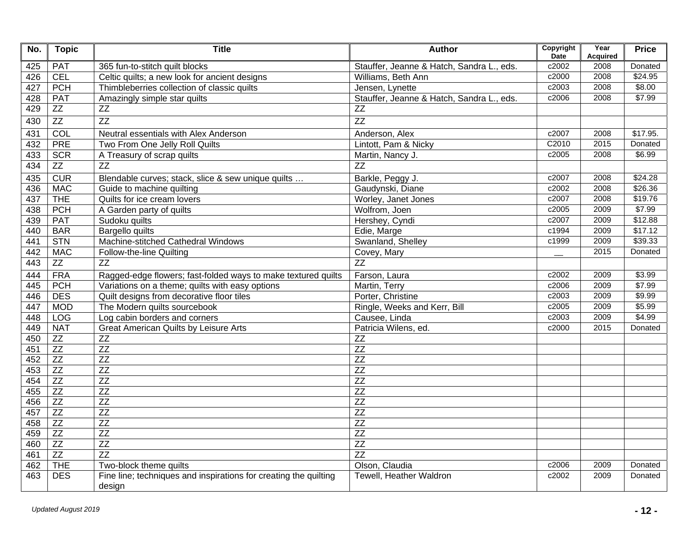| No. | <b>Topic</b>    | <b>Title</b>                                                               | Author                                    | Copyright<br><b>Date</b> | Year<br><b>Acquired</b> | <b>Price</b> |
|-----|-----------------|----------------------------------------------------------------------------|-------------------------------------------|--------------------------|-------------------------|--------------|
| 425 | <b>PAT</b>      | 365 fun-to-stitch quilt blocks                                             | Stauffer, Jeanne & Hatch, Sandra L., eds. | c2002                    | 2008                    | Donated      |
| 426 | <b>CEL</b>      | Celtic quilts; a new look for ancient designs                              | Williams, Beth Ann                        | c2000                    | 2008                    | \$24.95      |
| 427 | <b>PCH</b>      | Thimbleberries collection of classic quilts                                | Jensen, Lynette                           | c2003                    | 2008                    | \$8.00       |
| 428 | <b>PAT</b>      | Amazingly simple star quilts                                               | Stauffer, Jeanne & Hatch, Sandra L., eds. | c2006                    | 2008                    | \$7.99       |
| 429 | ZZ              | ZZ                                                                         | ZZ                                        |                          |                         |              |
| 430 | $\overline{ZZ}$ | $\overline{ZZ}$                                                            | $\overline{ZZ}$                           |                          |                         |              |
| 431 | COL             | Neutral essentials with Alex Anderson                                      | Anderson, Alex                            | c2007                    | 2008                    | \$17.95.     |
| 432 | <b>PRE</b>      | Two From One Jelly Roll Quilts                                             | Lintott, Pam & Nicky                      | C2010                    | 2015                    | Donated      |
| 433 | <b>SCR</b>      | A Treasury of scrap quilts                                                 | Martin, Nancy J.                          | c2005                    | 2008                    | \$6.99       |
| 434 | ZZ              | $\overline{ZZ}$                                                            | $\overline{ZZ}$                           |                          |                         |              |
| 435 | CUR             | Blendable curves; stack, slice & sew unique quilts                         | Barkle, Peggy J.                          | c2007                    | 2008                    | \$24.28      |
| 436 | <b>MAC</b>      | Guide to machine quilting                                                  | Gaudynski, Diane                          | c2002                    | 2008                    | \$26.36      |
| 437 | <b>THE</b>      | Quilts for ice cream lovers                                                | Worley, Janet Jones                       | c2007                    | 2008                    | \$19.76      |
| 438 | <b>PCH</b>      | A Garden party of quilts                                                   | Wolfrom, Joen                             | c2005                    | 2009                    | \$7.99       |
| 439 | <b>PAT</b>      | Sudoku quilts                                                              | Hershey, Cyndi                            | c2007                    | 2009                    | \$12.88      |
| 440 | <b>BAR</b>      | <b>Bargello quilts</b>                                                     | Edie, Marge                               | c1994                    | 2009                    | \$17.12      |
| 441 | <b>STN</b>      | Machine-stitched Cathedral Windows                                         | Swanland, Shelley                         | c1999                    | 2009                    | \$39.33      |
| 442 | <b>MAC</b>      | Follow-the-line Quilting                                                   | Covey, Mary                               |                          | 2015                    | Donated      |
| 443 | ZZ              | $\overline{ZZ}$                                                            | $\overline{ZZ}$                           |                          |                         |              |
| 444 | <b>FRA</b>      | Ragged-edge flowers; fast-folded ways to make textured quilts              | Farson, Laura                             | c2002                    | 2009                    | \$3.99       |
| 445 | PCH             | Variations on a theme; quilts with easy options                            | Martin, Terry                             | c2006                    | 2009                    | \$7.99       |
| 446 | <b>DES</b>      | Quilt designs from decorative floor tiles                                  | Porter, Christine                         | c2003                    | 2009                    | \$9.99       |
| 447 | <b>MOD</b>      | The Modern quilts sourcebook                                               | Ringle, Weeks and Kerr, Bill              | c2005                    | 2009                    | \$5.99       |
| 448 | <b>LOG</b>      | Log cabin borders and corners                                              | Causee, Linda                             | c2003                    | 2009                    | \$4.99       |
| 449 | <b>NAT</b>      | <b>Great American Quilts by Leisure Arts</b>                               | Patricia Wilens, ed.                      | c2000                    | 2015                    | Donated      |
| 450 | $Z\bar{Z}$      | <b>ZZ</b>                                                                  | ZZ                                        |                          |                         |              |
| 451 | ZZ              | $\overline{ZZ}$                                                            | $\overline{ZZ}$                           |                          |                         |              |
| 452 | ZZ              | ZZ                                                                         | $\overline{ZZ}$                           |                          |                         |              |
| 453 | $\overline{ZZ}$ | $\overline{ZZ}$                                                            | $\overline{ZZ}$                           |                          |                         |              |
| 454 | ZZ              | ZZ                                                                         | ZZ                                        |                          |                         |              |
| 455 | ZZ              | ZZ                                                                         | $\overline{ZZ}$                           |                          |                         |              |
| 456 | ZZ              | $\overline{ZZ}$                                                            | $\overline{ZZ}$                           |                          |                         |              |
| 457 | $\overline{ZZ}$ | $\overline{ZZ}$                                                            | $\overline{ZZ}$                           |                          |                         |              |
| 458 | ZZ              | ZZ                                                                         | ZZ                                        |                          |                         |              |
| 459 | ZZ              | <b>ZZ</b>                                                                  | ZZ                                        |                          |                         |              |
| 460 | $\overline{ZZ}$ | $\overline{ZZ}$                                                            | $\overline{ZZ}$                           |                          |                         |              |
| 461 | $\overline{ZZ}$ | $\overline{ZZ}$                                                            | $\overline{ZZ}$                           |                          |                         |              |
| 462 | <b>THE</b>      | Two-block theme quilts                                                     | Olson, Claudia                            | c2006                    | 2009                    | Donated      |
| 463 | <b>DES</b>      | Fine line; techniques and inspirations for creating the quilting<br>design | Tewell, Heather Waldron                   | c2002                    | 2009                    | Donated      |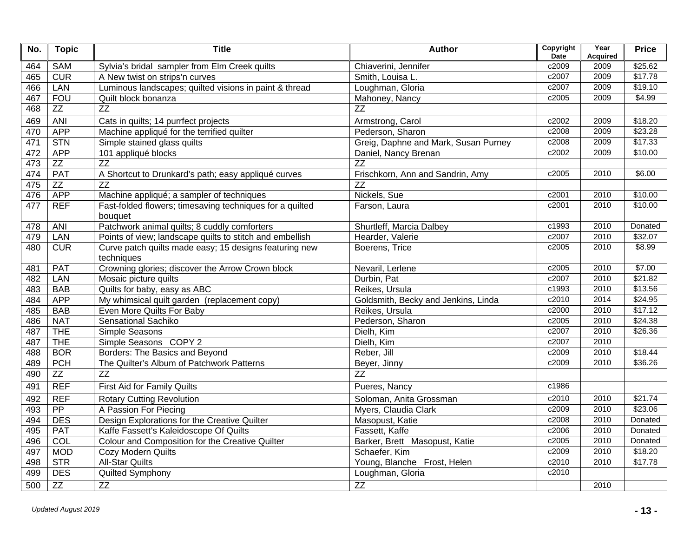| No. | <b>Topic</b> | <b>Title</b>                                                         | <b>Author</b>                        | Copyright<br><b>Date</b> | Year<br><b>Acquired</b> | <b>Price</b> |
|-----|--------------|----------------------------------------------------------------------|--------------------------------------|--------------------------|-------------------------|--------------|
| 464 | <b>SAM</b>   | Sylvia's bridal sampler from Elm Creek quilts                        | Chiaverini, Jennifer                 | c2009                    | 2009                    | \$25.62      |
| 465 | CUR          | A New twist on strips'n curves                                       | Smith, Louisa L.                     | c2007                    | 2009                    | \$17.78      |
| 466 | LAN          | Luminous landscapes; quilted visions in paint & thread               | Loughman, Gloria                     | c2007                    | 2009                    | \$19.10      |
| 467 | <b>FOU</b>   | Quilt block bonanza                                                  | Mahoney, Nancy                       | c2005                    | 2009                    | \$4.99       |
| 468 | ZZ           | ZZ                                                                   | $\overline{ZZ}$                      |                          |                         |              |
| 469 | <b>ANI</b>   | Cats in quilts; 14 purrfect projects                                 | Armstrong, Carol                     | c2002                    | 2009                    | \$18.20      |
| 470 | <b>APP</b>   | Machine appliqué for the terrified quilter                           | Pederson, Sharon                     | c2008                    | 2009                    | \$23.28      |
| 471 | <b>STN</b>   | Simple stained glass quilts                                          | Greig, Daphne and Mark, Susan Purney | c2008                    | 2009                    | \$17.33      |
| 472 | <b>APP</b>   | 101 appliqué blocks                                                  | Daniel, Nancy Brenan                 | c2002                    | 2009                    | \$10.00      |
| 473 | ZZ           | $\overline{ZZ}$                                                      | $\overline{ZZ}$                      |                          |                         |              |
| 474 | PAT          | A Shortcut to Drunkard's path; easy appliqué curves                  | Frischkorn, Ann and Sandrin, Amy     | c2005                    | 2010                    | \$6.00       |
| 475 | ZZ           | $\overline{ZZ}$                                                      | $\overline{ZZ}$                      |                          |                         |              |
| 476 | <b>APP</b>   | Machine appliqué; a sampler of techniques                            | Nickels, Sue                         | c2001                    | 2010                    | \$10.00      |
| 477 | <b>REF</b>   | Fast-folded flowers; timesaving techniques for a quilted             | Farson, Laura                        | c2001                    | 2010                    | \$10.00      |
|     |              | bouquet                                                              |                                      |                          |                         |              |
| 478 | <b>ANI</b>   | Patchwork animal quilts; 8 cuddly comforters                         | Shurtleff, Marcia Dalbey             | c1993                    | 2010                    | Donated      |
| 479 | <b>LAN</b>   | Points of view; landscape quilts to stitch and embellish             | Hearder, Valerie                     | c2007                    | 2010                    | \$32.07      |
| 480 | <b>CUR</b>   | Curve patch quilts made easy; 15 designs featuring new<br>techniques | Boerens, Trice                       | c2005                    | 2010                    | \$8.99       |
| 481 | <b>PAT</b>   | Crowning glories; discover the Arrow Crown block                     | Nevaril, Lerlene                     | c2005                    | 2010                    | \$7.00       |
| 482 | LAN          | Mosaic picture quilts                                                | Durbin, Pat                          | c2007                    | 2010                    | \$21.82      |
| 483 | <b>BAB</b>   | Quilts for baby, easy as ABC                                         | Reikes, Ursula                       | c1993                    | 2010                    | \$13.56      |
| 484 | <b>APP</b>   | My whimsical quilt garden (replacement copy)                         | Goldsmith, Becky and Jenkins, Linda  | c2010                    | 2014                    | \$24.95      |
| 485 | <b>BAB</b>   | Even More Quilts For Baby                                            | Reikes, Ursula                       | c2000                    | 2010                    | \$17.12      |
| 486 | <b>NAT</b>   | Sensational Sachiko                                                  | Pederson, Sharon                     | c2005                    | 2010                    | \$24.38      |
| 487 | <b>THE</b>   | Simple Seasons                                                       | Dielh, Kim                           | c2007                    | 2010                    | \$26.36      |
| 487 | <b>THE</b>   | Simple Seasons COPY 2                                                | Dielh, Kim                           | c2007                    | 2010                    |              |
| 488 | <b>BOR</b>   | <b>Borders: The Basics and Beyond</b>                                | Reber, Jill                          | c2009                    | 2010                    | \$18.44      |
| 489 | PCH          | The Quilter's Album of Patchwork Patterns                            | Beyer, Jinny                         | c2009                    | 2010                    | \$36.26      |
| 490 | ZZ           | $\overline{ZZ}$                                                      | $\overline{ZZ}$                      |                          |                         |              |
| 491 | <b>REF</b>   | First Aid for Family Quilts                                          | Pueres, Nancy                        | c1986                    |                         |              |
| 492 | <b>REF</b>   | <b>Rotary Cutting Revolution</b>                                     | Soloman, Anita Grossman              | c2010                    | 2010                    | \$21.74      |
| 493 | PP           | A Passion For Piecing                                                | Myers, Claudia Clark                 | c2009                    | 2010                    | \$23.06      |
| 494 | <b>DES</b>   | Design Explorations for the Creative Quilter                         | Masopust, Katie                      | c2008                    | 2010                    | Donated      |
| 495 | <b>PAT</b>   | Kaffe Fassett's Kaleidoscope Of Quilts                               | Fassett, Kaffe                       | c2006                    | 2010                    | Donated      |
| 496 | COL          | Colour and Composition for the Creative Quilter                      | Barker, Brett Masopust, Katie        | c2005                    | 2010                    | Donated      |
| 497 | <b>MOD</b>   | Cozy Modern Quilts                                                   | Schaefer, Kim                        | c2009                    | 2010                    | \$18.20      |
| 498 | <b>STR</b>   | <b>All-Star Quilts</b>                                               | Young, Blanche Frost, Helen          | c2010                    | 2010                    | \$17.78      |
| 499 | <b>DES</b>   | <b>Quilted Symphony</b>                                              | Loughman, Gloria                     | c2010                    |                         |              |
| 500 | ZZ           | ZZ                                                                   | ZZ                                   |                          | 2010                    |              |